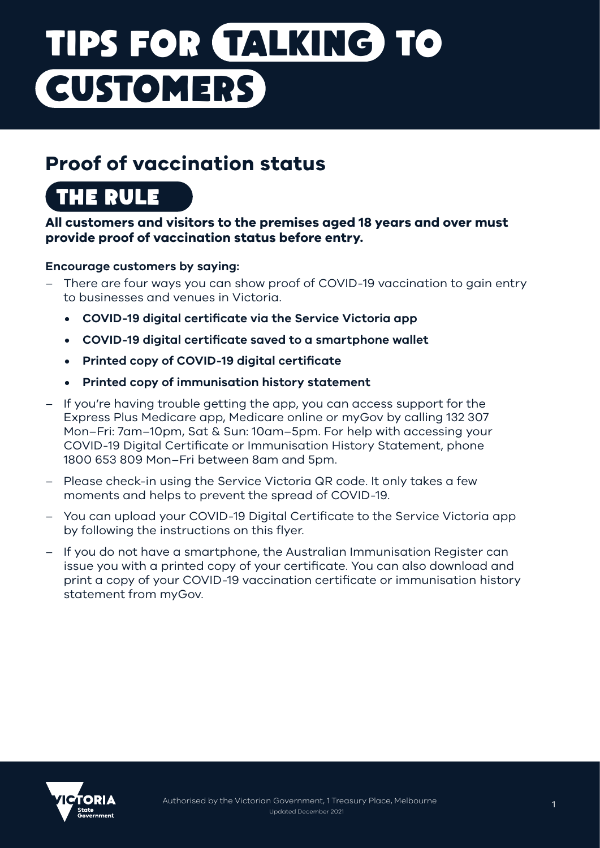# **TIPS FOR TALKING TO CUSTOMERS**

### **Proof of vaccination status**

# **THE RULE**

#### **All customers and visitors to the premises aged 18 years and over must provide proof of vaccination status before entry.**

#### **Encourage customers by saying:**

- There are four ways you can show proof of COVID-19 vaccination to gain entry to businesses and venues in Victoria.
	- **• COVID-19 digital certificate via the Service Victoria app**
	- **• COVID-19 digital certificate saved to a smartphone wallet**
	- **• Printed copy of COVID-19 digital certificate**
	- **• Printed copy of immunisation history statement**
- If you're having trouble getting the app, you can access support for the Express Plus Medicare app, Medicare online or myGov by calling 132 307 Mon–Fri: 7am–10pm, Sat & Sun: 10am–5pm. For help with accessing your COVID-19 Digital Certificate or Immunisation History Statement, phone 1800 653 809 Mon–Fri between 8am and 5pm.
- Please check-in using the Service Victoria QR code. It only takes a few moments and helps to prevent the spread of COVID-19.
- You can upload your COVID-19 Digital Certificate to the Service Victoria app by following the instructions on this flyer.
- If you do not have a smartphone, the Australian Immunisation Register can issue you with a printed copy of your certificate. You can also download and print a copy of your COVID-19 vaccination certificate or immunisation history statement from myGov.

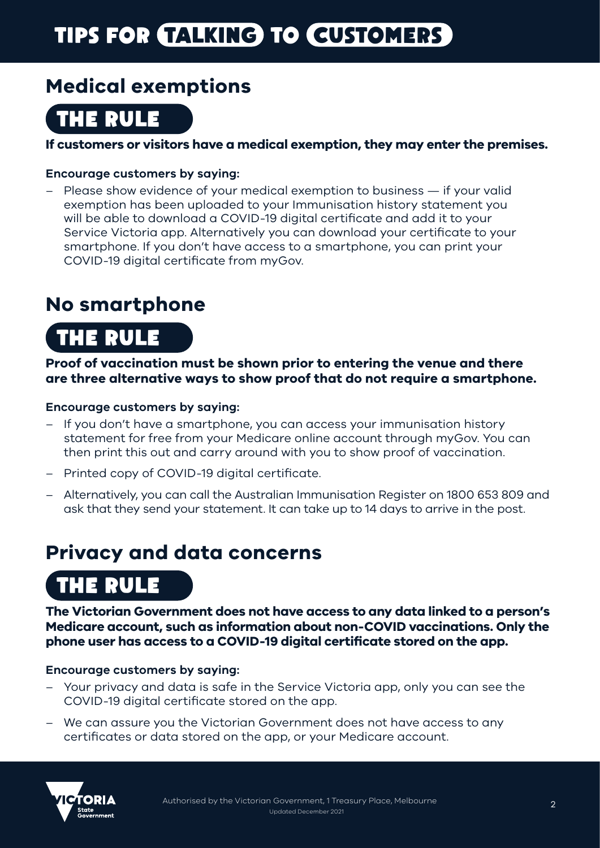# **TIPS FOR TALKING TO CUSTOMERS**

### **Medical exemptions**

### **THE RULE**

**If customers or visitors have a medical exemption, they may enter the premises.**

#### **Encourage customers by saying:**

– Please show evidence of your medical exemption to business — if your valid exemption has been uploaded to your Immunisation history statement you will be able to download a COVID-19 digital certificate and add it to your Service Victoria app. Alternatively you can download your certificate to your smartphone. If you don't have access to a smartphone, you can print your COVID-19 digital certificate from myGov.

### **No smartphone**

# **THE RULE**

**Proof of vaccination must be shown prior to entering the venue and there are three alternative ways to show proof that do not require a smartphone.**

#### **Encourage customers by saying:**

- If you don't have a smartphone, you can access your immunisation history statement for free from your Medicare online account through myGov. You can then print this out and carry around with you to show proof of vaccination.
- Printed copy of COVID-19 digital certificate.
- Alternatively, you can call the Australian Immunisation Register on 1800 653 809 and ask that they send your statement. It can take up to 14 days to arrive in the post.

### **Privacy and data concerns**

## **THE RULE**

**The Victorian Government does not have access to any data linked to a person's Medicare account, such as information about non-COVID vaccinations. Only the phone user has access to a COVID-19 digital certificate stored on the app.** 

#### **Encourage customers by saying:**

- Your privacy and data is safe in the Service Victoria app, only you can see the COVID-19 digital certificate stored on the app.
- We can assure you the Victorian Government does not have access to any certificates or data stored on the app, or your Medicare account.